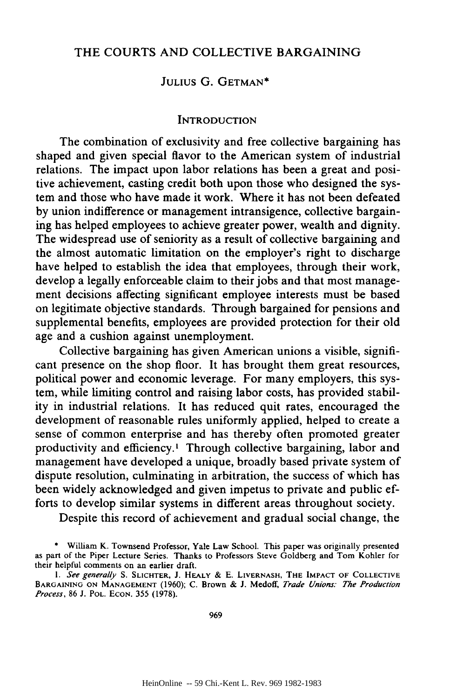### THE COURTS **AND** COLLECTIVE **BARGAINING**

## **JULIUS G. GETMAN\***

#### **INTRODUCTION**

The combination of exclusivity and free collective bargaining has shaped and given special flavor to the American system of industrial relations. The impact upon labor relations has been a great and positive achievement, casting credit both upon those who designed the system and those who have made it work. Where it has not been defeated **by** union indifference or management intransigence, collective bargaining has helped employees to achieve greater power, wealth and dignity. The widespread use of seniority as a result of collective bargaining and the almost automatic limitation on the employer's right to discharge have helped to establish the idea that employees, through their work, develop a legally enforceable claim to their jobs and that most management decisions affecting significant employee interests must be based on legitimate objective standards. Through bargained for pensions and supplemental benefits, employees are provided protection for their old age and a cushion against unemployment.

Collective bargaining has given American unions a visible, significant presence on the shop floor. It has brought them great resources, political power and economic leverage. For many employers, this system, while limiting control and raising labor costs, has provided stability in industrial relations. It has reduced quit rates, encouraged the development of reasonable rules uniformly applied, helped to create a sense of common enterprise and has thereby often promoted greater productivity and efficiency.' Through collective bargaining, labor and management have developed a unique, broadly based private system of dispute resolution, culminating in arbitration, the success of which has been widely acknowledged and given impetus to private and public efforts to develop similar systems in different areas throughout society.

Despite this record of achievement and gradual social change, the

William K. Townsend Professor, Yale Law School. This paper was originally presented as part of the Piper Lecture Series. Thanks to Professors Steve Goldberg and Tom Kohler for their helpful comments on an earlier draft.

*<sup>1.</sup>* See generally S. SLICHTER, **J.** HEALY **& E.** LIVERNASH, THE IMPACT OF **COLLECTIVE BARGAINING ON MANAGEMENT** (1960); C. Brown & J. Medoff, *Trade Unions. The Production Process,* **86** J. POL. **ECON.** 355 (1978).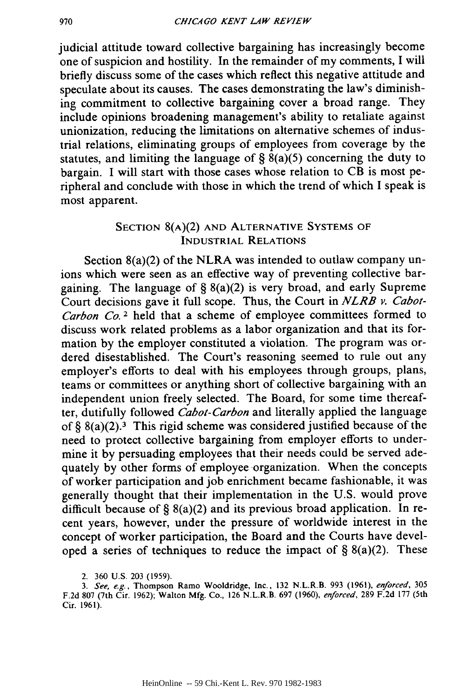judicial attitude toward collective bargaining has increasingly become one of suspicion and hostility. In the remainder of my comments, I will briefly discuss some of the cases which reflect this negative attitude and speculate about its causes. The cases demonstrating the law's diminishing commitment to collective bargaining cover a broad range. They include opinions broadening management's ability to retaliate against unionization, reducing the limitations on alternative schemes of industrial relations, eliminating groups of employees from coverage by the statutes, and limiting the language of  $\S$   $\gtrsim$  8(a)(5) concerning the duty to bargain. I will start with those cases whose relation to CB is most peripheral and conclude with those in which the trend of which I speak is most apparent.

# **SECTION** 8(A)(2) **AND** ALTERNATIVE **SYSTEMS OF INDUSTRIAL RELATIONS**

Section 8(a)(2) of the NLRA was intended to outlaw company unions which were seen as an effective way of preventing collective bargaining. The language of  $\S 8(a)(2)$  is very broad, and early Supreme Court decisions gave it full scope. Thus, the Court in *NLRB v. Cabot-Carbon Co.* 2 held that a scheme of employee committees formed to discuss work related problems as a labor organization and that its formation by the employer constituted a violation. The program was ordered disestablished. The Court's reasoning seemed to rule out any employer's efforts to deal with his employees through groups, plans, teams or committees or anything short of collective bargaining with an independent union freely selected. The Board, for some time thereafter, dutifully followed *Cabot-Carbon* and literally applied the language of §  $8(a)(2)$ .<sup>3</sup> This rigid scheme was considered justified because of the need to protect collective bargaining from employer efforts to undermine it by persuading employees that their needs could be served adequately by other forms of employee organization. When the concepts of worker participation and job enrichment became fashionable, it was generally thought that their implementation in the U.S. would prove difficult because of § 8(a)(2) and its previous broad application. In recent years, however, under the pressure of worldwide interest in the concept of worker participation, the Board and the Courts have developed a series of techniques to reduce the impact of  $\S$  8(a)(2). These

970

<sup>2. 360</sup> U.S. 203 (1959).

*<sup>3.</sup>* See, e.g., Thompson Ramo Wooldridge, Inc., **132** N.L.R.B. **993 (1961),** *enforced,* 305 F.2d 807 (7th Cir. 1962); Walton **Mfg.** Co., 126 N.L.R.B. 697 (1960), enforced, 289 F.2d 177 (5th Cir. **1961).**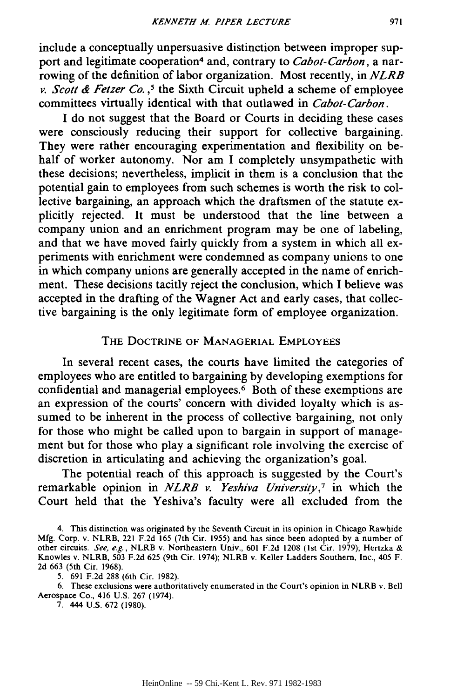include a conceptually unpersuasive distinction between improper support and legitimate cooperation4 and, contrary to *Cabot-Carbon,* a narrowing of the definition of labor organization. Most recently, in *NLRB v. Scott & Fetzer Co.*,<sup>5</sup> the Sixth Circuit upheld a scheme of employee committees virtually identical with that outlawed in *Cabot-Carbon.*

I do not suggest that the Board or Courts in deciding these cases were consciously reducing their support for collective bargaining. They were rather encouraging experimentation and flexibility on behalf of worker autonomy. Nor am I completely unsympathetic with these decisions; nevertheless, implicit in them is a conclusion that the potential gain to employees from such schemes is worth the risk to collective bargaining, an approach which the draftsmen of the statute explicitly rejected. It must be understood that the line between a company union and an enrichment program may be one of labeling, and that we have moved fairly quickly from a system in which all experiments with enrichment were condemned as company unions to one in which company unions are generally accepted in the name of enrichment. These decisions tacitly reject the conclusion, which I believe was accepted in the drafting of the Wagner Act and early cases, that collective bargaining is the only legitimate form of employee organization.

## THE DOCTRINE OF **MANAGERIAL** EMPLOYEES

In several recent cases, the courts have limited the categories of employees who are entitled to bargaining by developing exemptions for confidential and managerial employees.<sup>6</sup> Both of these exemptions are an expression of the courts' concern with divided loyalty which is assumed to be inherent in the process of collective bargaining, not only for those who might be called upon to bargain in support of management but for those who play a significant role involving the exercise of discretion in articulating and achieving the organization's goal.

The potential reach of this approach is suggested by the Court's remarkable opinion in *NLRB v. Yeshiva University,7* in which the Court held that the Yeshiva's faculty were all excluded from the

4. This distinction was originated by the Seventh Circuit in its opinion in Chicago Rawhide Mfg. Corp. v. NLRB, 221 F.2d 165 (7th Cir. 1955) and has since been adopted by a number of other circuits. *See, e.g.,* NLRB v. Northeastern Univ., 601 F.2d 1208 (lst Cir. 1979); Hertzka & Knowles v. NLRB, 503 F.2d 625 (9th Cir. 1974); NLRB v. Keller Ladders Southern, Inc., 405 F. 2d 663 (5th Cir. 1968).

5. 691 F.2d 288 (6th Cir. 1982).

6. These exclusions were authoritatively enumerated in the Court's opinion in NLRB v. Bell Aerospace Co., 416 U.S. 267 (1974).

7. 444 U.S. 672 (1980).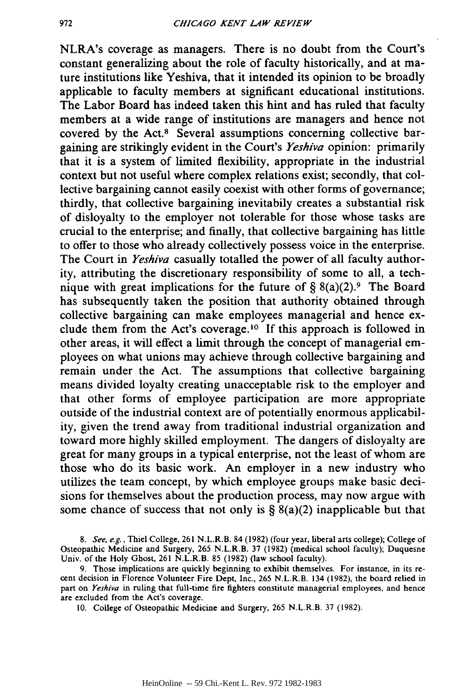NLRA's coverage as managers. There is no doubt from the Court's constant generalizing about the role of faculty historically, and at mature institutions like Yeshiva, that it intended its opinion to be broadly applicable to faculty members at significant educational institutions. The Labor Board has indeed taken this hint and has ruled that faculty members at a wide range of institutions are managers and hence not covered by the Act.<sup>8</sup> Several assumptions concerning collective bargaining are strikingly evident in the Court's *Yeshiva* opinion: primarily that it is a system of limited flexibility, appropriate in the industrial context but not useful where complex relations exist; secondly, that collective bargaining cannot easily coexist with other forms of governance; thirdly, that collective bargaining inevitabily creates a substantial risk of disloyalty to the employer not tolerable for those whose tasks are crucial to the enterprise; and finally, that collective bargaining has little to offer to those who already collectively possess voice in the enterprise. The Court in *Yeshiva* casually totalled the power of all faculty authority, attributing the discretionary responsibility of some to all, a technique with great implications for the future of  $\S 8(a)(2)$ .<sup>9</sup> The Board has subsequently taken the position that authority obtained through collective bargaining can make employees managerial and hence exclude them from the Act's coverage.<sup>10</sup> If this approach is followed in other areas, it will effect a limit through the concept of managerial employees on what unions may achieve through collective bargaining and remain under the Act. The assumptions that collective bargaining means divided loyalty creating unacceptable risk to the employer and that other forms of employee participation are more appropriate outside of the industrial context are of potentially enormous applicability, given the trend away from traditional industrial organization and toward more highly skilled employment. The dangers of disloyalty are great for many groups in a typical enterprise, not the least of whom are those who do its basic work. An employer in a new industry who utilizes the team concept, by which employee groups make basic decisions for themselves about the production process, may now argue with some chance of success that not only is  $\S$  8(a)(2) inapplicable but that

*<sup>8.</sup>* See, e.g., Thiel College, 261 N.L.R.B. 84 (1982) (four year, liberal arts college); College of Osteopathic Medicine and Surgery, 265 N.L.R.B. 37 (1982) (medical school faculty); Duquesne Univ. of the Holy Ghost, 261 N.L.R.B. 85 (1982) (law school faculty).

<sup>9.</sup> Those implications are quickly beginning to exhibit themselves. For instance, in its recent decision in Florence Volunteer Fire Dept, Inc., 265 N.L.R.B. 134 (1982), the board relied in part on *Yeshiva* in ruling that full-time fire fighters constitute managerial employees, and hence are excluded from the Act's coverage.

<sup>10.</sup> College of Osteopathic Medicine and Surgery, 265 N.L.R.B. 37 (1982).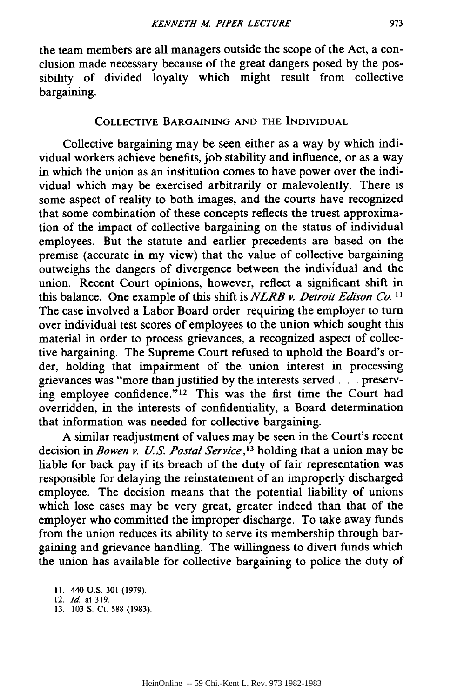the team members are all managers outside the scope of the Act, a conclusion made necessary because of the great dangers posed by the possibility of divided loyalty which might result from collective bargaining.

# COLLECTIVE BARGAINING **AND THE INDIVIDUAL**

Collective bargaining may be seen either as a way **by** which individual workers achieve benefits, **job** stability and influence, or as a way in which the union as an institution comes to have power over the individual which may be exercised arbitrarily or malevolently. There is some aspect of reality to both images, and the courts have recognized that some combination of these concepts reflects the truest approximation of the impact of collective bargaining on the status of individual employees. But the statute and earlier precedents are based on the premise (accurate in my view) that the value of collective bargaining outweighs the dangers of divergence between the individual and the union. Recent Court opinions, however, reflect a significant shift in this balance. One example of this shift is *NLRB v. Detroit Edison Co. Ij* The case involved a Labor Board order requiring the employer to turn over individual test scores of employees to the union which sought this material in order to process grievances, a recognized aspect of collective bargaining. The Supreme Court refused to uphold the Board's order, holding that impairment of the union interest in processing grievances was "more than justified **by** the interests served. **. .** preserving employee confidence."<sup>12</sup> This was the first time the Court had overridden, in the interests of confidentiality, a Board determination that information was needed for collective bargaining.

A similar readjustment of values may be seen in the Court's recent decision in *Bowen v. U.S. Postal Service*,<sup>13</sup> holding that a union may be liable for back pay if its breach of the duty of fair representation was responsible for delaying the reinstatement of an improperly discharged employee. The decision means that the potential liability of unions which lose cases may be very great, greater indeed than that of the employer who committed the improper discharge. To take away funds from the union reduces its ability to serve its membership through bargaining and grievance handling. The willingness to divert funds which the union has available for collective bargaining to police the duty of

**13. 103 S. Ct. 588 (1983).**

**I1. 440 U.S. 301 (1979).**

<sup>12.</sup> Id. at **319.**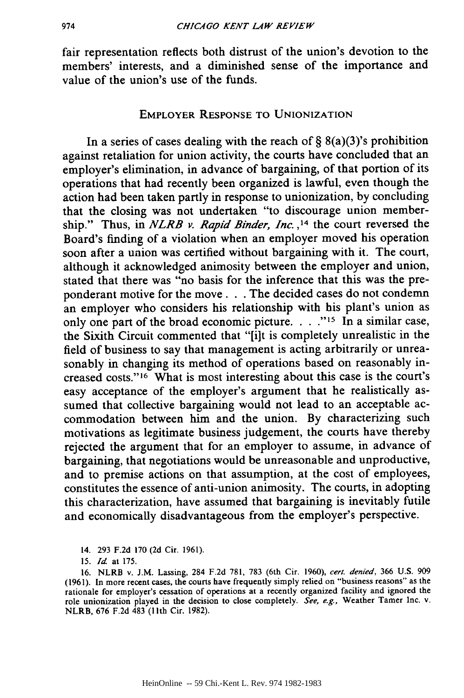fair representation reflects both distrust of the union's devotion to the members' interests, and a diminished sense of the importance and value of the union's use of the funds.

#### EMPLOYER **RESPONSE** TO **UNIONIZATION**

In a series of cases dealing with the reach of §  $8(a)(3)$ 's prohibition against retaliation for union activity, the courts have concluded that an employer's elimination, in advance of bargaining, of that portion of its operations that had recently been organized is lawful, even though the action had been taken partly in response to unionization, by concluding that the closing was not undertaken "to discourage union membership." Thus, in *NLRB v. Rapid Binder, Inc.* **,14** the court reversed the Board's finding of a violation when an employer moved his operation soon after a union was certified without bargaining with it. The court, although it acknowledged animosity between the employer and union, stated that there was "no basis for the inference that this was the preponderant motive for the move. **.** . The decided cases do not condemn an employer who considers his relationship with his plant's union as only one part of the broad economic picture. . **. ." 15** In a similar case, the Sixith Circuit commented that "[it is completely unrealistic in the field of business to say that management is acting arbitrarily or unreasonably in changing its method of operations based on reasonably increased costs."<sup>16</sup> What is most interesting about this case is the court's easy acceptance of the employer's argument that he realistically assumed that collective bargaining would not lead to an acceptable accommodation between him and the union. By characterizing such motivations as legitimate business judgement, the courts have thereby rejected the argument that for an employer to assume, in advance of bargaining, that negotiations would be unreasonable and unproductive, and to premise actions on that assumption, at the cost of employees, constitutes the essence of anti-union animosity. The courts, in adopting this characterization, have assumed that bargaining is inevitably futile and economically disadvantageous from the employer's perspective.

14. 293 F.2d 170 (2d Cir. 1961).

<sup>15.</sup> *Id* at 175.

<sup>16.</sup> NLRB v. J.M. Lassing, 284 F.2d 781, 783 (6th Cir. 1960), cert. denied, 366 U.S. 909 (1961). In more recent cases, the courts have frequently simply relied on "business reasons" as the rationale for employer's cessation of operations at a recently organized facility and ignored the role unionization played in the decision to close completely. *See, e.g.,* Weather Tamer Inc. v. NLRB, 676 F.2d 483 (11th Cir. 1982).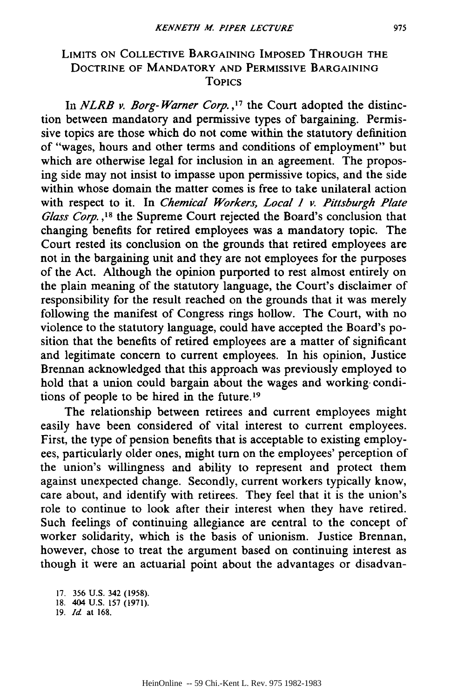# LIMITS **ON** COLLECTIVE BARGAINING **IMPOSED THROUGH THE** DOCTRINE OF MANDATORY **AND** PERMISSIVE BARGAINING TOPICS

In *NLRB v. Borg-Warner Corp.*,<sup>17</sup> the Court adopted the distinction between mandatory and permissive types of bargaining. Permissive topics are those which do not come within the statutory definition of "wages, hours and other terms and conditions of employment" but which are otherwise legal for inclusion in an agreement. The proposing side may not insist to impasse upon permissive topics, and the side within whose domain the matter comes is free to take unilateral action with respect to it. In *Chemical Workers, Local 1 v. Pittsburgh Plate Glass Corp. ,8* the Supreme Court rejected the Board's conclusion that changing benefits for retired employees was a mandatory topic. The Court rested its conclusion on the grounds that retired employees are not in the bargaining unit and they are not employees for the purposes of the Act. Although the opinion purported to rest almost entirely on the plain meaning of the statutory language, the Court's disclaimer of responsibility for the result reached on the grounds that it was merely following the manifest of Congress rings hollow. The Court, with no violence to the statutory language, could have accepted the Board's position that the benefits of retired employees are a matter of significant and legitimate concern to current employees. In his opinion, Justice Brennan acknowledged that this approach was previously employed to hold that a union could bargain about the wages and working- conditions of people to be hired in the future.<sup>19</sup>

The relationship between retirees and current employees might easily have been considered of vital interest to current employees. First, the type of pension benefits that is acceptable to existing employees, particularly older ones, might turn on the employees' perception of the union's willingness and ability to represent and protect them against unexpected change. Secondly, current workers typically know, care about, and identify with retirees. They feel that it is the union's role to continue to look after their interest when they have retired. Such feelings of continuing allegiance are central to the concept of worker solidarity, which is the basis of unionism. Justice Brennan, however, chose to treat the argument based on continuing interest as though it were an actuarial point about the advantages or disadvan-

<sup>17. 356</sup> U.S. 342 (1958).

<sup>18. 404</sup> U.S. 157 (1971).

<sup>19.</sup> *Id* at 168.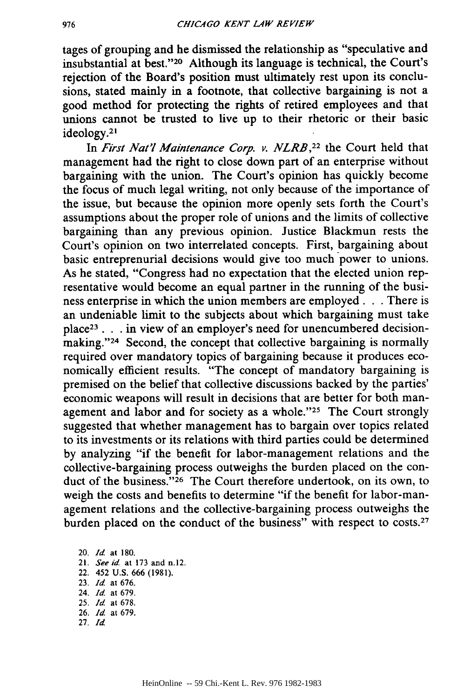tages of grouping and he dismissed the relationship as "speculative and insubstantial at best."<sup>20</sup> Although its language is technical, the Court's rejection of the Board's position must ultimately rest upon its conclusions, stated mainly in a footnote, that collective bargaining is not a good method for protecting the rights of retired employees and that unions cannot be trusted to live up to their rhetoric or their basic ideology.<sup>21</sup>

In *First Nat'l Maintenance Corp. v. NLRB*,<sup>22</sup> the Court held that management had the right to close down part of an enterprise without bargaining with the union. The Court's opinion has quickly become the focus of much legal writing, not only because of the importance of the issue, but because the opinion more openly sets forth the Court's assumptions about the proper role of unions and the limits of collective bargaining than any previous opinion. Justice Blackmun rests the Court's opinion on two interrelated concepts. First, bargaining about basic entreprenurial decisions would give too much power to unions. As he stated, "Congress had no expectation that the elected union representative would become an equal partner in the running of the business enterprise in which the union members are employed. **.** . There is an undeniable limit to the subjects about which bargaining must take place<sup>23</sup> . . . in view of an employer's need for unencumbered decisionmaking."<sup>24</sup> Second, the concept that collective bargaining is normally required over mandatory topics of bargaining because it produces economically efficient results. "The concept of mandatory bargaining is premised on the belief that collective discussions backed by the parties' economic weapons will result in decisions that are better for both management and labor and for society as a whole."<sup>25</sup> The Court strongly suggested that whether management has to bargain over topics related to its investments or its relations with third parties could be determined by analyzing "if the benefit for labor-management relations and the collective-bargaining process outweighs the burden placed on the conduct of the business."<sup>26</sup> The Court therefore undertook, on its own, to weigh the costs and benefits to determine "if the benefit for labor-management relations and the collective-bargaining process outweighs the burden placed on the conduct of the business" with respect to costs.<sup>27</sup>

20. *Id* at 180. 21. *See id.* at 173 and n.12. 22. 452 U.S. 666 (1981). 23. *Id* at **676.** 24. *Id.* at **679.** 25. *Id* at 678. 26. *Id.* at **679.** 27. *Id*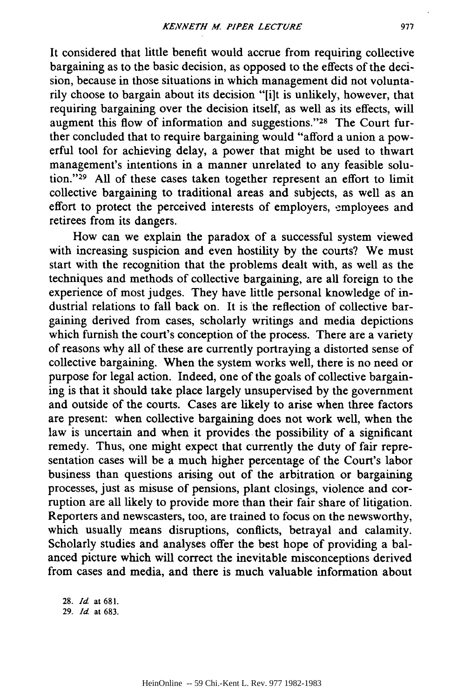It considered that little benefit would accrue from requiring collective bargaining as to the basic decision, as opposed to the effects of the decision, because in those situations in which management did not voluntarily choose to bargain about its decision "[i]t is unlikely, however, that requiring bargaining over the decision itself, as well as its effects, will augment this flow of information and suggestions."<sup>28</sup> The Court further concluded that to require bargaining would "afford a union a powerful tool for achieving delay, a power that might be used to thwart management's intentions in a manner unrelated to any feasible solution."<sup>29</sup> All of these cases taken together represent an effort to limit collective bargaining to traditional areas and subjects, as well as an effort to protect the perceived interests of employers, employees and retirees from its dangers.

How can we explain the paradox of a successful system viewed with increasing suspicion and even hostility **by** the courts? We must start with the recognition that the problems dealt with, as well as the techniques and methods of collective bargaining, are all foreign to the experience of most judges. They have little personal knowledge of industrial relations to fall back on. It is the reflection of collective bargaining derived from cases, scholarly writings and media depictions which furnish the court's conception of the process. There are a variety of reasons why all of these are currently portraying a distorted sense of collective bargaining. When the system works well, there is no need or purpose for legal action. Indeed, one of the goals of collective bargaining is that it should take place largely unsupervised **by** the government and outside of the courts. Cases are likely to arise when three factors are present: when collective bargaining does not work well, when the law is uncertain and when it provides the possibility of a significant remedy. Thus, one might expect that currently the duty of fair representation cases will be a much higher percentage of the Court's labor business than questions arising out of the arbitration or bargaining processes, just as misuse of pensions, plant closings, violence and corruption are all likely to provide more than their fair share of litigation. Reporters and newscasters, too, are trained to focus on the newsworthy, which usually means disruptions, conflicts, betrayal and calamity. Scholarly studies and analyses offer the best hope of providing a balanced picture which will correct the inevitable misconceptions derived from cases and media, and there is much valuable information about

28. *Id* at 681. 29. *Id* at 683.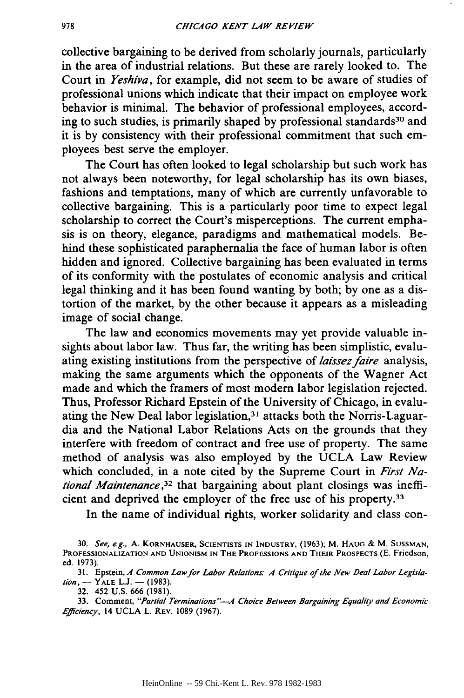collective bargaining to be derived from scholarly journals, particularly in the area of industrial relations. But these are rarely looked to. The Court in *Yeshiva,* for example, did not seem to be aware of studies of professional unions which indicate that their impact on employee work behavior is minimal. The behavior of professional employees, according to such studies, is primarily shaped by professional standards<sup>30</sup> and it is by consistency with their professional commitment that such employees best serve the employer.

The Court has often looked to legal scholarship but such work has not always been noteworthy, for legal scholarship has its own biases, fashions and temptations, many of which are currently unfavorable to collective bargaining. This is a particularly poor time to expect legal scholarship to correct the Court's misperceptions. The current emphasis is on theory, elegance, paradigms and mathematical models. Behind these sophisticated paraphernalia the face of human labor is often hidden and ignored. Collective bargaining has been evaluated in terms of its conformity with the postulates of economic analysis and critical legal thinking and it has been found wanting by both; by one as a distortion of the market, by the other because it appears as a misleading image of social change.

The law and economics movements may yet provide valuable insights about labor law. Thus far, the writing has been simplistic, evaluating existing institutions from the perspective of *laissez faire* analysis, making the same arguments which the opponents of the Wagner Act made and which the framers of most modem labor legislation rejected. Thus, Professor Richard Epstein of the University of Chicago, in evaluating the New Deal labor legislation,<sup>31</sup> attacks both the Norris-Laguardia and the National Labor Relations Acts on the grounds that they interfere with freedom of contract and free use of property. The same method of analysis was also employed by the UCLA Law Review which concluded, in a note cited by the Supreme Court in *First National Maintenance,32* that bargaining about plant closings was inefficient and deprived the employer of the free use of his property.<sup>33</sup>

In the name of individual rights, worker solidarity and class con-

33. Comment, *"Partial Terminations"--.A Choice Between Bargaining Equality and Economic Efficiency,* 14 UCLA L. REV. 1089 (1967).

**<sup>30.</sup>** *See, e.g.,* **A.** KORNHAUSER, **SCIENTISTS IN INDUSTRY,** (1963); M. **HAUG** & M. **SUSSMAN, PROFESSIONALIZATION AND UNIONISM IN** THE **PROFESSIONS AND** THEIR PROSPECTS **(E.** Friedson, ed. 1973).

<sup>31.</sup> Epstein, *A Common Law for Labor Relations. A Critique of the New Deal Labor Legislation*, — Y<sub>ALE</sub> L.J. — (1983)

<sup>32. 452</sup> U.S. 666 (1981).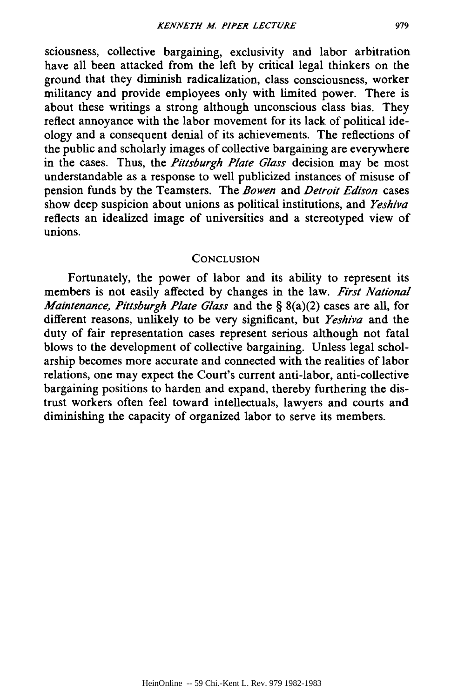sciousness, collective bargaining, exclusivity and labor arbitration have all been attacked from the left by critical legal thinkers on the ground that they diminish radicalization, class consciousness, worker militancy and provide employees only with limited power. There is about these writings a strong although unconscious class bias. They reflect annoyance with the labor movement for its lack of political ideology and a consequent denial of its achievements. The reflections of the public and scholarly images of collective bargaining are everywhere in the cases. Thus, the *Pittsburgh Plate Glass* decision may be most understandable as a response to well publicized instances of misuse of pension funds by the Teamsters. The *Bowen* and *Detroit Edison* cases show deep suspicion about unions as political institutions, and *Yeshiva* reflects an idealized image of universities and a stereotyped view of unions.

#### **CONCLUSION**

Fortunately, the power of labor and its ability to represent its members is not easily affected by changes in the law. *First National Maintenance, Pittsburgh Plate Glass* and the § 8(a)(2) cases are all, for different reasons, unlikely to be very significant, but *Yeshiva* and the duty of fair representation cases represent serious although not fatal blows to the development of collective bargaining. Unless legal scholarship becomes more accurate and connected with the realities of labor relations, one may expect the Court's current anti-labor, anti-collective bargaining positions to harden and expand, thereby furthering the distrust workers often feel toward intellectuals, lawyers and courts and diminishing the capacity of organized labor to serve its members.